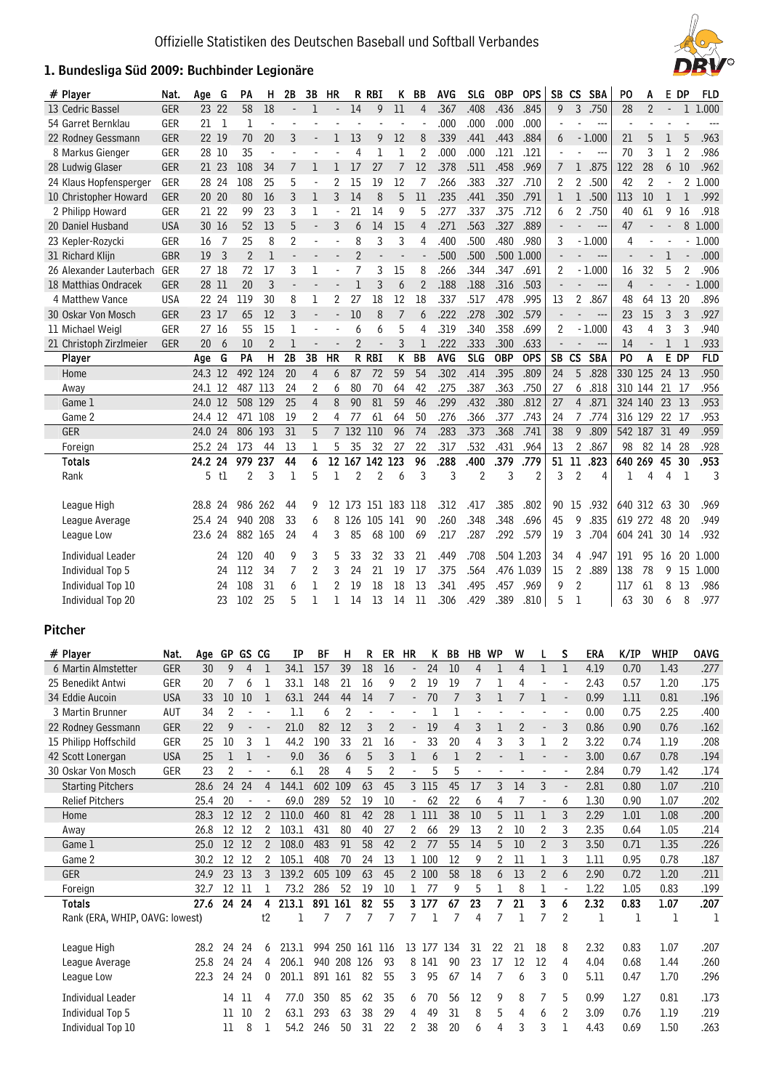# **1. Bundesliga Süd 2009: Buchbinder Legionäre**

| # Player                       | Nat.       | Age          | G              | PA                       | н                        | 2B                   | 3B                       | HR             |                          | R RBI                    | K              | BB                       |                | AVG            | <b>SLG</b>     | <b>OBP</b>                   | <b>OPS</b>                       | <b>SB</b>                | $\mathsf{CS}\phantom{0}$     | <b>SBA</b>               | PO             | A                        |                          | E DP                     | <b>FLD</b>  |
|--------------------------------|------------|--------------|----------------|--------------------------|--------------------------|----------------------|--------------------------|----------------|--------------------------|--------------------------|----------------|--------------------------|----------------|----------------|----------------|------------------------------|----------------------------------|--------------------------|------------------------------|--------------------------|----------------|--------------------------|--------------------------|--------------------------|-------------|
| 13 Cedric Bassel               | GER        | 23 22        |                | 58                       | 18                       |                      | 1                        |                | 14                       | 9                        | 11             |                          | $\overline{4}$ | .367           | .408           | .436                         | .845                             | 9                        | 3                            | .750                     | 28             | $\overline{2}$           | $\overline{\phantom{a}}$ | $\mathbf{1}$             | 1.000       |
| 54 Garret Bernklau             | GER        | 21           | $\mathbf{1}$   | 1                        | ÷,                       | ä,                   | L,                       |                | $\overline{\phantom{a}}$ |                          | ÷,             |                          |                | .000           | .000           | .000                         | .000                             | $\blacksquare$           | ä,                           | ---                      | $\blacksquare$ |                          |                          |                          |             |
| 22 Rodney Gessmann             | GER        | 22 19        |                | $70\,$                   | 20                       | 3                    | $\overline{a}$           | 1              | 13                       | 9                        | 12             |                          | 8              | .339           | .441           | .443                         | .884                             | 6                        |                              | $-1.000$                 | 21             | 5                        | 1                        | 5                        | .963        |
| 8 Markus Gienger               | GER        | 28 10        |                | 35                       | $\overline{a}$           | $\ddot{\phantom{1}}$ | $\overline{\phantom{a}}$ |                | 4                        | 1                        | 1              |                          | 2              | .000           | .000           | .121                         | .121                             | $\blacksquare$           |                              | $\overline{\phantom{a}}$ | 70             | 3                        | 1                        | $\overline{2}$           | .986        |
| 28 Ludwig Glaser               | GER        | 21 23        |                | 108                      | 34                       | 7                    | 1                        | 1              | 17                       | 27                       | 7              | 12                       |                | .378           | .511           | .458                         | .969                             | 7                        | $\mathbf{1}$                 | .875                     | 122            | 28                       | 6                        | 10                       | .962        |
| 24 Klaus Hopfensperger         | GER        | 28           | 24             | 108                      | 25                       | 5                    | ÷,                       | 2              | 15                       | 19                       | 12             |                          | 7              | .266           | .383           | .327                         | .710                             | $\overline{2}$           | $\overline{2}$               | .500                     | 42             | $\overline{2}$           |                          | $\overline{2}$           | 1.000       |
| 10 Christopher Howard          | GER        | 20 20        |                | 80                       | 16                       | 3                    | 1                        | 3              | 14                       | 8                        | 5              | 11                       |                | .235           | .441           | .350                         | .791                             | 1                        |                              | 1 .500                   | 113            | $10\,$                   | 1                        | 1                        | .992        |
| 2 Philipp Howard               | GER        | 21 22        |                | 99                       | 23                       | 3                    | 1                        | $\blacksquare$ | 21                       | 14                       | 9              |                          | 5              | .277           | .337           | .375                         | .712                             | 6                        |                              | 2 .750                   | 40             | 61                       | 9                        | 16                       | .918        |
| 20 Daniel Husband              | <b>USA</b> | 30 16        |                | 52                       | 13                       | 5                    | $\blacksquare$           | 3              | 6                        | 14                       | 15             |                          | 4              | .271           | .563           | .327                         | .889                             |                          |                              | $\overline{\phantom{a}}$ | 47             |                          |                          | 8                        | 1.000       |
| 23 Kepler-Rozycki              | GER        | 16           | - 7            | 25                       | 8                        | $\overline{2}$       |                          |                | 8                        | 3                        | 3              |                          | 4              | .400           | .500           | .480                         | .980                             | 3                        |                              | $-1.000$                 | 4              |                          |                          | $\blacksquare$           | 1.000       |
| 31 Richard Klijn               | GBR        | 19           | $\overline{3}$ | $\overline{2}$           | $\overline{1}$           | $\overline{a}$       |                          |                | $\overline{2}$           | $\overline{a}$           | $\overline{a}$ |                          |                | .500           | .500           |                              | .500 1.000                       |                          |                              | $\overline{a}$           |                |                          | 1                        |                          | .000        |
| 26 Alexander Lauterbach        | GER        | 27 18        |                | 72                       | 17                       | 3                    | 1                        |                | 7                        | 3                        | 15             |                          | 8              | .266           | .344           | .347                         | .691                             | 2                        |                              | $-1.000$                 | 16             | 32                       | 5                        | $\overline{2}$           | .906        |
| 18 Matthias Ondracek           | GER        | 28 11        |                | 20                       | 3                        | $\blacksquare$       |                          |                | 1                        | 3                        | 6              |                          | $\overline{2}$ | .188           | .188           | .316                         | .503                             |                          | $\qquad \qquad \blacksquare$ | $\overline{\phantom{a}}$ | 4              | $\overline{\phantom{a}}$ |                          | $\overline{\phantom{a}}$ | 1.000       |
| 4 Matthew Vance                | <b>USA</b> | 22 24        |                | 119                      | 30                       | 8                    | 1                        | $\overline{c}$ | 27                       | 18                       | 12             | 18                       |                | .337           | .517           | .478                         | .995                             | 13                       | $\overline{2}$               | .867                     | 48             | 64                       | 13                       | 20                       | .896        |
| 30 Oskar Von Mosch             | GER        | 23 17        |                | 65                       | 12                       | 3                    | $\blacksquare$           |                | 10                       | 8                        | $\overline{7}$ |                          | 6              | .222           | .278           | .302                         | .579                             |                          |                              | $\overline{\phantom{a}}$ | 23             | 15                       | 3                        | 3                        | .927        |
| 11 Michael Weigl               | GER        | 27 16        |                | 55                       | 15                       | 1                    | ä,                       |                | 6                        | 6                        | 5              |                          | 4              | .319           | .340           | .358                         | .699                             | 2                        |                              | $-1.000$                 | 43             | 4                        | 3                        | 3                        | .940        |
| 21 Christoph Zirzlmeier        | GER        | 20           | - 6            | 10                       | $\overline{2}$           | 1                    | $\overline{\phantom{a}}$ |                | $\overline{2}$           | $\overline{\phantom{a}}$ | 3              |                          | 1              | .222           | .333           | .300                         | .633                             |                          |                              | $---$                    | 14             | $\overline{\phantom{a}}$ | 1                        | 1                        | .933        |
| Player                         |            | Age          | G              | PA                       | $\mathsf H$              | 2B                   | 3В                       | <b>HR</b>      |                          | R RBI                    | K              | BB                       |                | <b>AVG</b>     | <b>SLG</b>     | <b>OBP</b>                   | <b>OPS</b>                       |                          | SB CS                        | <b>SBA</b>               | P <sub>O</sub> | A                        |                          | E DP                     | <b>FLD</b>  |
| Home                           |            | 24.3 12      |                |                          | 492 124                  | 20                   | $\overline{4}$           | 6              | 87                       | 72                       | 59             | 54                       |                | .302           | .414           | .395                         | .809                             | 24                       | 5                            | .828                     | 330 125        |                          | 24 13                    |                          | .950        |
| Away                           |            | 24.1 12      |                |                          | 487 113                  | 24                   | 2                        | 6              | 80                       | $70\,$                   | 64             | 42                       |                | .275           | .387           | .363                         | .750                             | 27                       | 6                            | .818                     | 310 144        |                          | 21                       | 17                       | .956        |
| Game 1                         |            | 24.0 12      |                |                          | 508 129                  | 25                   | $\overline{4}$           | $\, 8$         | 90                       | 81                       | 59             | 46                       |                | .299           | .432           | .380                         | .812                             | 27                       | $\overline{4}$               | .871                     | 324 140        |                          | 23 13                    |                          | .953        |
| Game 2                         |            | 24.4 12      |                | 471                      | 108                      | 19                   | 2                        | 4              | 77                       | 61                       | 64             | 50                       |                | .276           | .366           | .377                         | .743                             | 24                       |                              | .774                     | 316 129        |                          | 22                       | -17                      | .953        |
| GER                            |            | 24.0         | 24             | 806                      | 193                      | 31                   | 5                        |                | 7132                     | 110                      | 96             | 74                       |                | .283           | .373           | .368                         | .741                             | 38                       | $\overline{9}$               | .809                     | 542 187        |                          | 31 49                    |                          | .959        |
| Foreign                        |            | 25.2 24      |                | 173                      | 44                       | 13                   | 1                        | 5              | 35                       | 32                       | 27             | 22                       |                | .317           | .532           | .431                         | .964                             | 13                       | 2                            | .867                     | 98             | 82                       | 14                       | 28                       | .928        |
| <b>Totals</b>                  |            | 24.2         | 24             | 979                      | 237                      | 44                   | 6                        | 12 167         |                          | 142 123                  |                | 96                       |                | .288           | .400           | .379                         | .779                             | 51                       | 11                           | .823                     | 640 269        |                          | 45                       | 30                       | .953        |
| Rank                           |            |              | 5 tl           | $\overline{2}$           | 3                        | 1                    | 5                        | 1              | 2                        | 2                        | 6              |                          | 3              | 3              | $\overline{2}$ | 3                            | 2                                | 3                        | $\overline{2}$               | 4                        | 1              | 4                        | 4                        | $\mathbf 1$              | 3           |
|                                |            |              |                |                          |                          |                      |                          |                |                          |                          |                |                          |                |                |                |                              |                                  |                          |                              |                          |                |                          |                          |                          |             |
| League High                    |            | 28.8         | -24            |                          | 986 262                  | 44                   | 9                        | 12 173         |                          | 151 183                  |                | 118                      |                | .312           | .417           | .385                         | .802                             | 90                       | 15                           | .932                     | 640 312        |                          | 63                       | 30                       | .969        |
| League Average                 |            | 25.4         | 24             | 940                      | 208                      | 33                   | 6                        | 8              | 126                      | 105 141                  |                | 90                       |                | .260           | .348           | .348                         | .696                             | 45                       | 9                            | .835                     | 619 272        |                          | 48                       | 20                       | .949        |
| League Low                     |            | 23.6 24      |                | 882 165                  |                          | 24                   | 4                        | 3              | 85                       |                          | 68 100         | 69                       |                | .217           | .287           | .292                         | .579                             | 19                       | 3                            | .704                     | 604 241        |                          | 30                       | 14                       | .932        |
|                                |            |              |                |                          |                          |                      |                          |                |                          |                          |                |                          |                |                |                |                              |                                  |                          |                              |                          |                |                          |                          |                          |             |
| <b>Individual Leader</b>       |            |              | 24             | 120                      | 40                       | 9                    | 3                        | 5              | 33                       | 32                       | 33             | 21                       |                | .449           | .708           |                              | .504 1.203                       | 34                       | 4                            | .947                     | 191            | 95                       | 16                       | 20                       | 1.000       |
| Individual Top 5               |            |              | 24             | 112                      | 34                       | 7                    | 2                        | 3              | 24                       | 21                       | 19             | 17                       |                | .375           | .564           |                              | .476 1.039                       | 15                       | $\overline{2}$               | .889                     | 138            | 78                       | 9                        | 15                       | 1.000       |
| Individual Top 10              |            |              | 24             | 108                      | 31                       | 6                    | 1                        | $\overline{2}$ | 19                       | 18                       | 18             | 13                       |                | .341           | .495           | .457                         | .969                             | 9                        | $\overline{2}$               |                          | 117            | 61                       | 8                        | 13                       | .986        |
| Individual Top 20              |            |              | 23             | 102                      | 25                       | 5                    | ı                        | 1              | 14                       | 13                       | 14             | 11                       |                | .306           | .429           | .389                         | .810                             | 5                        | 1                            |                          | 63             | 30                       | 6                        | 8                        | .977        |
| <b>Pitcher</b>                 |            |              |                |                          |                          |                      |                          |                |                          |                          |                |                          |                |                |                |                              |                                  |                          |                              |                          |                |                          |                          |                          |             |
|                                |            |              |                |                          |                          |                      |                          |                |                          |                          |                |                          |                |                |                |                              |                                  |                          |                              |                          |                |                          |                          |                          |             |
| # Player                       | Nat.       | Age GP GS CG |                |                          |                          | IP                   | ΒF                       |                | н                        |                          | R ER HR        |                          |                | K BB           | HB WP          |                              | W<br>L                           | S                        |                              | ERA                      | K/IP           |                          | WHIP                     |                          | <b>OAVG</b> |
| 6 Martin Almstetter            | GER        | 30           | 9              | 4                        | 1                        | 34.1                 | 157                      | 39             |                          | 18                       | 16             |                          | 24             | 10             | 4              |                              | 4<br>1                           | 1                        |                              | 4.19                     | 0.70           |                          | 1.43                     |                          | .277        |
| 25 Benedikt Antwi              | GER        | 20           | 7              | 6                        | 1                        | 33.1                 | 148                      | 21             |                          | 16                       | 9              | 2                        | 19             | 19             | 7              | 1                            | 4                                | ÷,                       |                              | 2.43                     | 0.57           |                          | 1.20                     |                          | .175        |
| 34 Eddie Aucoin                | <b>USA</b> | 33           |                | $10\quad 10$             | $\,1\,$                  | 63.1                 | 244                      | 44             |                          | 14                       | $\overline{7}$ | $\overline{\phantom{a}}$ | 70             | $\overline{7}$ | 3              | $\!1$                        | $\overline{7}$<br>$\mathbf 1$    | $\overline{a}$           |                              | 0.99                     | 1.11           |                          | 0.81                     |                          | .196        |
| 3 Martin Brunner               | AUT        | 34           | $\overline{c}$ | $\blacksquare$           | $\blacksquare$           | 1.1                  |                          | 6              | $\overline{2}$           | ÷,                       | $\overline{a}$ |                          | 1              | 1              | $\overline{a}$ |                              |                                  | $\overline{a}$           |                              | 0.00                     | 0.75           |                          | 2.25                     |                          | .400        |
| 22 Rodney Gessmann             | GER        | 22           | 9              | $\overline{\phantom{a}}$ | $\overline{\phantom{a}}$ | 21.0                 | 82                       | 12             |                          | 3                        | $\overline{2}$ | $\overline{\phantom{a}}$ | 19             | $\overline{4}$ | 3              | $\mathbf 1$                  | $\overline{2}$<br>$\blacksquare$ | 3                        |                              | 0.86                     | 0.90           |                          | 0.76                     |                          | .162        |
| 15 Philipp Hoffschild          | GER        | 25           | 10             | 3                        | 1                        | 44.2                 | 190                      | 33             |                          | 21                       | 16             | $\frac{1}{2}$            | 33             | 20             | 4              | 3                            | 3<br>1                           | $\overline{2}$           |                              | 3.22                     | 0.74           |                          | 1.19                     |                          | .208        |
| 42 Scott Lonergan              | <b>USA</b> | 25           | $\,1$          | $\mathbf 1$              | $\blacksquare$           | 9.0                  | 36                       |                | 6                        | 5                        | 3              | ı                        | 6              | $\mathbf 1$    | $\overline{2}$ | $\qquad \qquad \blacksquare$ | ı<br>$\overline{\phantom{a}}$    | $\overline{\phantom{a}}$ |                              | 3.00                     | 0.67           |                          | 0.78                     |                          | .194        |
| 30 Oskar Von Mosch             | GER        | 23           | $\overline{2}$ | $\blacksquare$           | $\blacksquare$           | 6.1                  | 28                       |                | 4                        | 5                        | $\overline{2}$ | ٠                        | 5              | 5              | ÷,             | ÷,                           | $\blacksquare$<br>٠              |                          | ÷,                           | 2.84                     | 0.79           |                          | 1.42                     |                          | .174        |
| <b>Starting Pitchers</b>       |            | 28.6         | 24             | 24                       | 4                        | 144.1                |                          | 602 109        |                          | 63                       | 45             |                          | 3 115          | 45             | 17             | 3                            | 14<br>3                          | $\overline{\phantom{a}}$ |                              | 2.81                     | 0.80           |                          | 1.07                     |                          | .210        |
| <b>Relief Pitchers</b>         |            | 25.4         | 20             | $\blacksquare$           | $\Box$                   | 69.0                 | 289                      | 52             |                          | 19                       | 10             | ÷.                       | 62             | 22             | 6              | 4                            | 7<br>$\blacksquare$              | 6                        |                              | 1.30                     | 0.90           |                          | 1.07                     |                          | .202        |
| Home                           |            | 28.3         | 12 12          |                          |                          | 2 110.0              | 460                      | 81             |                          | 42                       | 28             |                          | $1\,$ 111 $\,$ | 38             | 10             | 5                            | 11<br>$\mathbf 1$                | 3                        |                              | 2.29                     | 1.01           |                          | 1.08                     |                          | .200        |
| Away                           |            | 26.8         |                | 12 12                    | $2^{\circ}$              | 103.1                | 431                      | 80             |                          | $40\,$                   | 27             |                          | 2 66           | 29             | 13             | $\overline{2}$               | 2<br>10                          | 3                        |                              | 2.35                     | 0.64           |                          | 1.05                     |                          | .214        |
| Game 1                         |            | 25.0         |                | 12 12                    |                          | 2 108.0              | 483                      | 91             |                          | 58                       | 42             | $2^{\circ}$              | 77             | 55             | 14             | 5                            | 10<br>$\overline{2}$             | 3                        |                              | 3.50                     | 0.71           |                          | 1.35                     |                          | .226        |
| Game 2                         |            | 30.2         |                | 12 12                    |                          | 2 105.1              | 408                      | $70$           |                          | 24                       | 13             |                          | 1 100          | 12             | 9              | $\overline{2}$               | $_{11}$<br>1                     | 3                        |                              | 1.11                     | 0.95           |                          | 0.78                     |                          | .187        |
| GER                            |            | 24.9         |                | 23 13                    |                          | 3 139.2              |                          | 605 109        |                          | 63                       | 45             |                          | 2100           | 58             | 18             | $6\,$                        | 13<br>$\overline{2}$             | 6                        |                              | 2.90                     | 0.72           |                          | 1.20                     |                          | .211        |
| Foreign                        |            | 32.7         |                | 12 11                    | 1                        | 73.2                 | 286                      | 52             |                          | 19                       | 10             |                          | 1 77           | 9              | 5              | 1                            | 8<br>1                           | $\overline{\phantom{a}}$ |                              | 1.22                     | 1.05           |                          | 0.83                     |                          | .199        |
| <b>Totals</b>                  |            | 27.6         |                | 24 24                    | $\overline{\mathbf{4}}$  | 213.1                |                          | 891 161        |                          | 82                       | 55             |                          | 3 177          | 67             | 23             | $\overline{7}$               | 3<br>21                          | 6                        |                              | 2.32                     | 0.83           |                          | 1.07                     |                          | .207        |
| Rank (ERA, WHIP, OAVG: lowest) |            |              |                |                          | t2                       | 1                    |                          | 7              | 7                        | $\overline{7}$           | 7              | $\overline{7}$           | $\mathbf 1$    | $\overline{7}$ | 4              | $\overline{7}$               | $\mathbf{1}$<br>7                | 2                        |                              | 1                        |                | 1                        | 1                        |                          | 1           |
|                                |            |              |                |                          |                          |                      |                          |                |                          |                          |                |                          |                |                |                |                              |                                  |                          |                              |                          |                |                          |                          |                          |             |
| League High                    |            | 28.2         | 24             | 24                       | 6                        | 213.1                |                          |                |                          | 994 250 161 116          |                |                          | 13 177 134     |                | 31             | 22                           | 21<br>18                         | 8                        |                              | 2.32                     | 0.83           |                          | 1.07                     |                          | .207        |
| League Average                 |            | 25.8         | 24             | 24                       | 4                        | 206.1                |                          | 940 208 126    |                          |                          | 93             |                          | 8 141          | 90             | 23             | 17                           | 12<br>12                         | 4                        |                              | 4.04                     | 0.68           |                          | 1.44                     |                          | .260        |
| League Low                     |            | 22.3         | 24             | 24                       | 0                        | 201.1                |                          | 891 161        |                          | 82                       | 55             | 3                        | 95             | 67             | 14             | 7                            | 6<br>3                           | 0                        |                              | 5.11                     | 0.47           |                          | 1.70                     |                          | .296        |
| <b>Individual Leader</b>       |            |              |                | 14 11                    | 4                        | 77.0                 | 350                      | 85             |                          | 62                       | 35             | 6                        | 70             | 56             | 12             | 9                            | 8<br>7                           | 5                        |                              | 0.99                     | 1.27           |                          | 0.81                     |                          | .173        |
| Individual Top 5               |            |              | 11             | 10                       | $\overline{2}$           | 63.1                 | 293                      | 63             |                          | 38                       | 29             | 4                        | 49             | 31             | 8              | 5                            | 6<br>4                           | $\overline{2}$           |                              | 3.09                     | 0.76           |                          | 1.19                     |                          | .219        |
| Individual Top 10              |            |              |                | $11 \t 8$                | 1                        |                      | 54.2 246                 | 50             |                          | 31                       | 22             | $2^{\circ}$              | 38             | $20\,$         | 6              | 4                            | 3<br>3                           | 1                        |                              | 4.43                     | 0.69           |                          | 1.50                     |                          | .263        |
|                                |            |              |                |                          |                          |                      |                          |                |                          |                          |                |                          |                |                |                |                              |                                  |                          |                              |                          |                |                          |                          |                          |             |